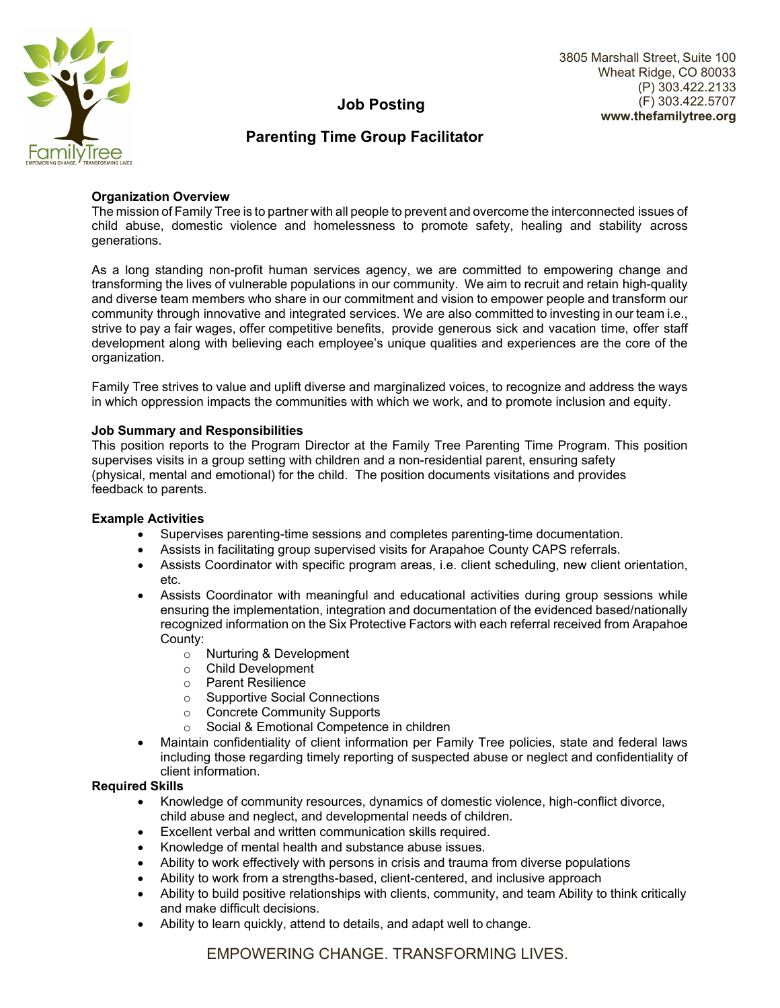

#### 3805 Marshall Street, Suite 100 Wheat Ridge, CO 80033 (P) 303.422.2133 (F) 303.422.5707 **www.thefamilytree.org**

# **Job Posting**

## **Parenting Time Group Facilitator**

## **Organization Overview**

The mission of Family Tree is to partner with all people to prevent and overcome the interconnected issues of child abuse, domestic violence and homelessness to promote safety, healing and stability across generations.

As a long standing non-profit human services agency, we are committed to empowering change and transforming the lives of vulnerable populations in our community. We aim to recruit and retain high-quality and diverse team members who share in our commitment and vision to empower people and transform our community through innovative and integrated services. We are also committed to investing in our team i.e., strive to pay a fair wages, offer competitive benefits, provide generous sick and vacation time, offer staff development along with believing each employee's unique qualities and experiences are the core of the organization.

Family Tree strives to value and uplift diverse and marginalized voices, to recognize and address the ways in which oppression impacts the communities with which we work, and to promote inclusion and equity.

## **Job Summary and Responsibilities**

This position reports to the Program Director at the Family Tree Parenting Time Program. This position supervises visits in a group setting with children and a non-residential parent, ensuring safety (physical, mental and emotional) for the child. The position documents visitations and provides feedback to parents.

#### **Example Activities**

- Supervises parenting-time sessions and completes parenting-time documentation.
- Assists in facilitating group supervised visits for Arapahoe County CAPS referrals.
- Assists Coordinator with specific program areas, i.e. client scheduling, new client orientation, etc.
- Assists Coordinator with meaningful and educational activities during group sessions while ensuring the implementation, integration and documentation of the evidenced based/nationally recognized information on the Six Protective Factors with each referral received from Arapahoe County:
	- o Nurturing & Development
	- o Child Development
	- o Parent Resilience
	- o Supportive Social Connections
	- o Concrete Community Supports
	- o Social & Emotional Competence in children
- Maintain confidentiality of client information per Family Tree policies, state and federal laws including those regarding timely reporting of suspected abuse or neglect and confidentiality of client information.

## **Required Skills**

- Knowledge of community resources, dynamics of domestic violence, high-conflict divorce, child abuse and neglect, and developmental needs of children.
- Excellent verbal and written communication skills required.
- Knowledge of mental health and substance abuse issues.
- Ability to work effectively with persons in crisis and trauma from diverse populations
- Ability to work from a strengths-based, client-centered, and inclusive approach
- Ability to build positive relationships with clients, community, and team Ability to think critically and make difficult decisions.
- Ability to learn quickly, attend to details, and adapt well to change.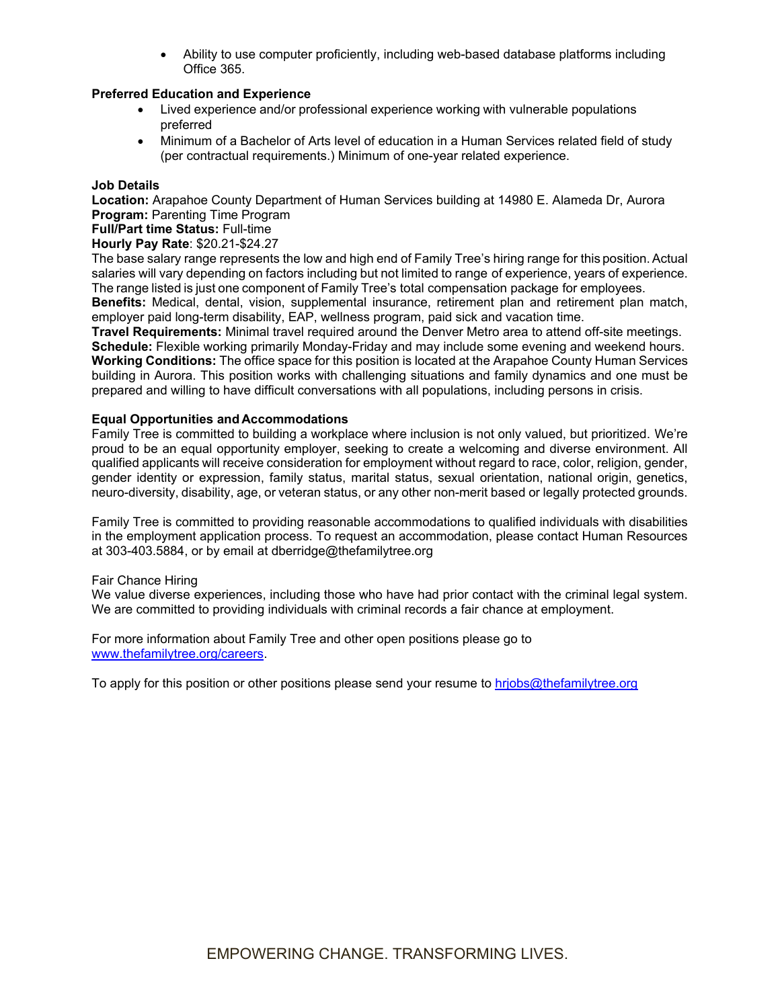Ability to use computer proficiently, including web-based database platforms including Office 365.

## **Preferred Education and Experience**

- Lived experience and/or professional experience working with vulnerable populations preferred
- Minimum of a Bachelor of Arts level of education in a Human Services related field of study (per contractual requirements.) Minimum of one-year related experience.

### **Job Details**

**Location:** Arapahoe County Department of Human Services building at 14980 E. Alameda Dr, Aurora **Program: Parenting Time Program** 

**Full/Part time Status:** Full-time

## **Hourly Pay Rate**: \$20.21-\$24.27

The base salary range represents the low and high end of Family Tree's hiring range for this position. Actual salaries will vary depending on factors including but not limited to range of experience, years of experience. The range listed is just one component of Family Tree's total compensation package for employees.

**Benefits:** Medical, dental, vision, supplemental insurance, retirement plan and retirement plan match, employer paid long-term disability, EAP, wellness program, paid sick and vacation time.

**Travel Requirements:** Minimal travel required around the Denver Metro area to attend off-site meetings. **Schedule:** Flexible working primarily Monday-Friday and may include some evening and weekend hours. **Working Conditions:** The office space for this position is located at the Arapahoe County Human Services building in Aurora. This position works with challenging situations and family dynamics and one must be prepared and willing to have difficult conversations with all populations, including persons in crisis.

#### **Equal Opportunities and Accommodations**

Family Tree is committed to building a workplace where inclusion is not only valued, but prioritized. We're proud to be an equal opportunity employer, seeking to create a welcoming and diverse environment. All qualified applicants will receive consideration for employment without regard to race, color, religion, gender, gender identity or expression, family status, marital status, sexual orientation, national origin, genetics, neuro-diversity, disability, age, or veteran status, or any other non-merit based or legally protected grounds.

Family Tree is committed to providing reasonable accommodations to qualified individuals with disabilities in the employment application process. To request an accommodation, please contact Human Resources at 303-403.5884, or by email at dberridge@thefamilytree.org

#### Fair Chance Hiring

We value diverse experiences, including those who have had prior contact with the criminal legal system. We are committed to providing individuals with criminal records a fair chance at employment.

For more information about Family Tree and other open positions please go to www.thefamilytree.org/careers.

To apply for this position or other positions please send your resume to hriobs@thefamilytree.org